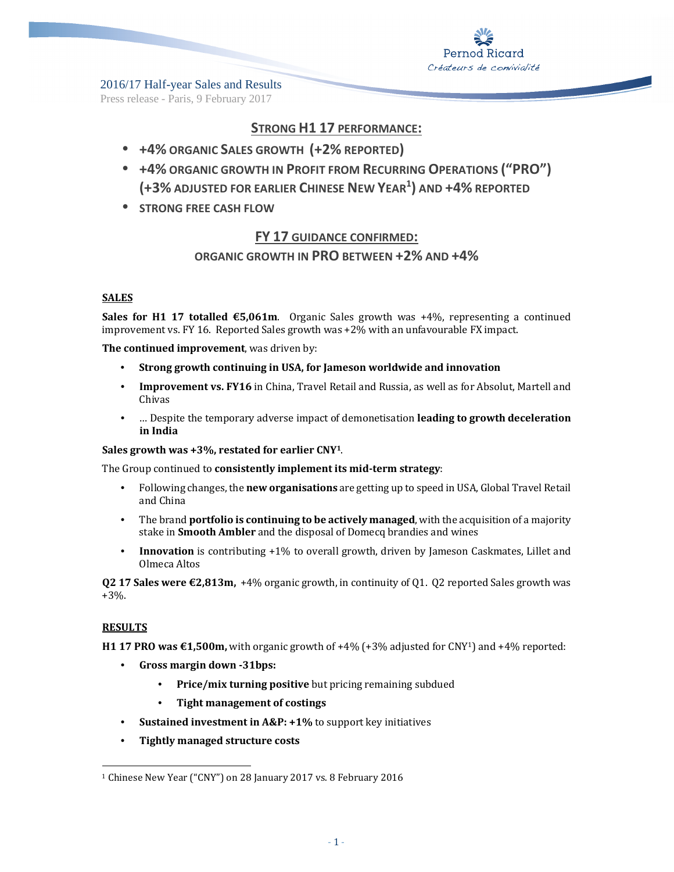# **STRONG H1 17 PERFORMANCE:**

Pernod Ricard Créateurs de convivialité

- **+4% ORGANIC SALES GROWTH (+2% REPORTED)**
- **+4% ORGANIC GROWTH IN PROFIT FROM RECURRING OPERATIONS ("PRO") (+3% ADJUSTED FOR EARLIER CHINESE NEW YEAR<sup>1</sup> ) AND +4% REPORTED**
- **STRONG FREE CASH FLOW**

# **FY 17 GUIDANCE CONFIRMED:**

# **ORGANIC GROWTH IN PRO BETWEEN +2% AND +4%**

## **SALES**

**Sales for H1 17 totalled €5,061m**. Organic Sales growth was +4%, representing a continued improvement vs. FY 16. Reported Sales growth was +2% with an unfavourable FX impact.

**The continued improvement**, was driven by:

- **Strong growth continuing in USA, for Jameson worldwide and innovation**
- **Improvement vs. FY16** in China, Travel Retail and Russia, as well as for Absolut, Martell and Chivas
- … Despite the temporary adverse impact of demonetisation **leading to growth deceleration in India**

### **Sales growth was +3%, restated for earlier CNY1**.

The Group continued to **consistently implement its mid-term strategy**:

- Following changes, the **new organisations** are getting up to speed in USA, Global Travel Retail and China
- The brand **portfolio is continuing to be actively managed**, with the acquisition of a majority stake in **Smooth Ambler** and the disposal of Domecq brandies and wines
- **Innovation** is contributing +1% to overall growth, driven by Jameson Caskmates, Lillet and Olmeca Altos

**Q2 17 Sales were €2,813m,** +4% organic growth, in continuity of Q1. Q2 reported Sales growth was +3%.

## **RESULTS**

**H1 17 PRO was €1,500m,** with organic growth of +4% (+3% adjusted for CNY<sup>1</sup>) and +4% reported:

- **Gross margin down -31bps:** 
	- **Price/mix turning positive** but pricing remaining subdued
	- **Tight management of costings**
- **Sustained investment in A&P: +1%** to support key initiatives
- **Tightly managed structure costs**

 $\overline{a}$ 1 Chinese New Year ("CNY") on 28 January 2017 vs. 8 February 2016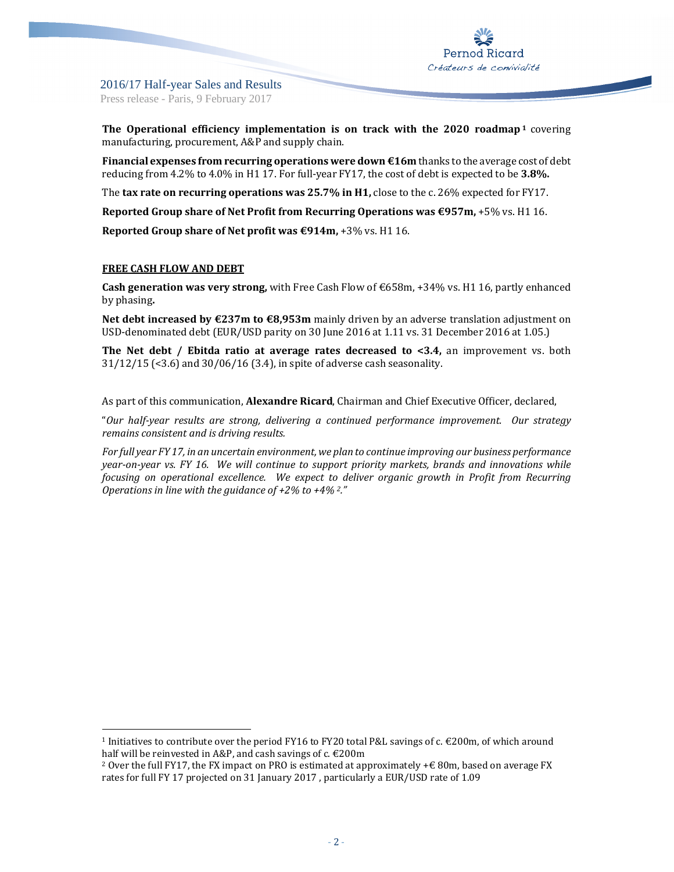

2016/17 Half-year Sales and Results Press release - Paris, 9 February 2017

**The Operational efficiency implementation is on track with the 2020 roadmap <sup>1</sup>** covering manufacturing, procurement, A&P and supply chain.

**Financial expenses from recurring operations were down €16m** thanks to the average cost of debt reducing from 4.2% to 4.0% in H1 17. For full-year FY17, the cost of debt is expected to be **3.8%.**

The **tax rate on recurring operations was 25.7% in H1,** close to the c. 26% expected for FY17.

**Reported Group share of Net Profit from Recurring Operations was €957m,** +5% vs. H1 16.

**Reported Group share of Net profit was €914m,** +3% vs. H1 16.

### **FREE CASH FLOW AND DEBT**

 $\overline{a}$ 

**Cash generation was very strong,** with Free Cash Flow of €658m, +34% vs. H1 16, partly enhanced by phasing**.** 

**Net debt increased by €237m to €8,953m** mainly driven by an adverse translation adjustment on USD-denominated debt (EUR/USD parity on 30 June 2016 at 1.11 vs. 31 December 2016 at 1.05.)

**The Net debt / Ebitda ratio at average rates decreased to <3.4,** an improvement vs. both 31/12/15 (<3.6) and 30/06/16 (3.4), in spite of adverse cash seasonality.

As part of this communication, **Alexandre Ricard**, Chairman and Chief Executive Officer, declared,

"*Our half-year results are strong, delivering a continued performance improvement. Our strategy remains consistent and is driving results.* 

*For full year FY 17, in an uncertain environment, we plan to continue improving our business performance year-on-year vs. FY 16. We will continue to support priority markets, brands and innovations while focusing on operational excellence. We expect to deliver organic growth in Profit from Recurring Operations in line with the guidance of +2% to +4% 2."* 

<sup>&</sup>lt;sup>1</sup> Initiatives to contribute over the period FY16 to FY20 total P&L savings of c. €200m, of which around half will be reinvested in A&P, and cash savings of c. €200m

<sup>&</sup>lt;sup>2</sup> Over the full FY17, the FX impact on PRO is estimated at approximately  $+ \epsilon$  80m, based on average FX rates for full FY 17 projected on 31 January 2017 , particularly a EUR/USD rate of 1.09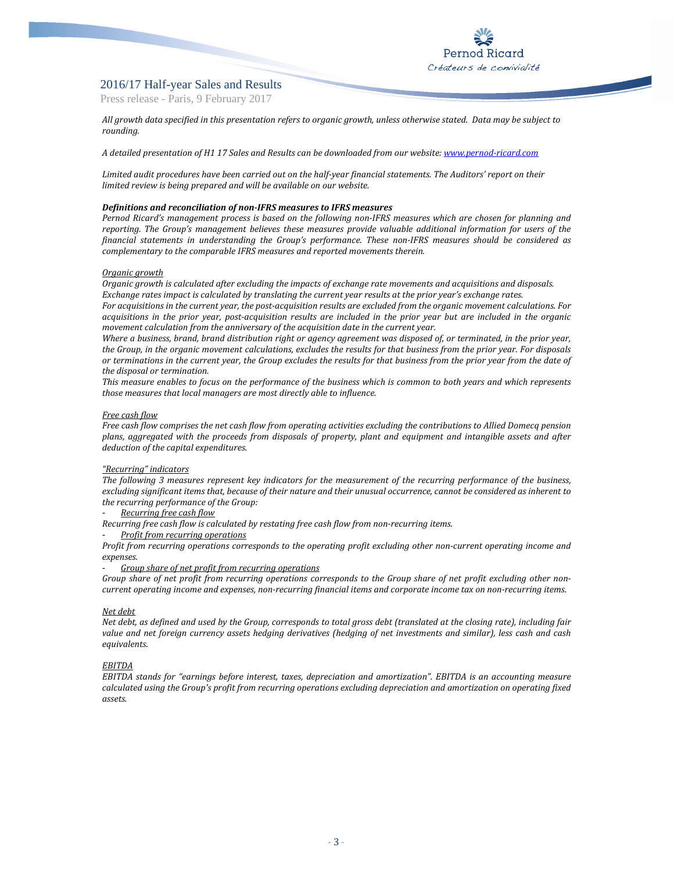Press release - Paris, 9 February 2017

*All growth data specified in this presentation refers to organic growth, unless otherwise stated. Data may be subject to rounding.* 

*A detailed presentation of H1 17 Sales and Results can be downloaded from our website: www.pernod-ricard.com*

*Limited audit procedures have been carried out on the half-year financial statements. The Auditors' report on their limited review is being prepared and will be available on our website.* 

#### *Definitions and reconciliation of non-IFRS measures to IFRS measures*

*Pernod Ricard's management process is based on the following non-IFRS measures which are chosen for planning and reporting. The Group's management believes these measures provide valuable additional information for users of the financial statements in understanding the Group's performance. These non-IFRS measures should be considered as complementary to the comparable IFRS measures and reported movements therein.* 

#### *Organic growth*

*Organic growth is calculated after excluding the impacts of exchange rate movements and acquisitions and disposals. Exchange rates impact is calculated by translating the current year results at the prior year's exchange rates.* 

*For acquisitions in the current year, the post-acquisition results are excluded from the organic movement calculations. For acquisitions in the prior year, post-acquisition results are included in the prior year but are included in the organic movement calculation from the anniversary of the acquisition date in the current year.* 

*Where a business, brand, brand distribution right or agency agreement was disposed of, or terminated, in the prior year, the Group, in the organic movement calculations, excludes the results for that business from the prior year. For disposals or terminations in the current year, the Group excludes the results for that business from the prior year from the date of the disposal or termination.* 

*This measure enables to focus on the performance of the business which is common to both years and which represents those measures that local managers are most directly able to influence.* 

#### *Free cash flow*

*Free cash flow comprises the net cash flow from operating activities excluding the contributions to Allied Domecq pension plans, aggregated with the proceeds from disposals of property, plant and equipment and intangible assets and after deduction of the capital expenditures.* 

#### *"Recurring" indicators*

*The following 3 measures represent key indicators for the measurement of the recurring performance of the business, excluding significant items that, because of their nature and their unusual occurrence, cannot be considered as inherent to the recurring performance of the Group:* 

#### - *Recurring free cash flow*

*Recurring free cash flow is calculated by restating free cash flow from non-recurring items.* 

#### - *Profit from recurring operations*

*Profit from recurring operations corresponds to the operating profit excluding other non-current operating income and expenses.* 

#### - *Group share of net profit from recurring operations*

*Group share of net profit from recurring operations corresponds to the Group share of net profit excluding other noncurrent operating income and expenses, non-recurring financial items and corporate income tax on non-recurring items.* 

#### *Net debt*

*Net debt, as defined and used by the Group, corresponds to total gross debt (translated at the closing rate), including fair value and net foreign currency assets hedging derivatives (hedging of net investments and similar), less cash and cash equivalents.* 

#### *EBITDA*

*EBITDA stands for "earnings before interest, taxes, depreciation and amortization". EBITDA is an accounting measure calculated using the Group's profit from recurring operations excluding depreciation and amortization on operating fixed assets.*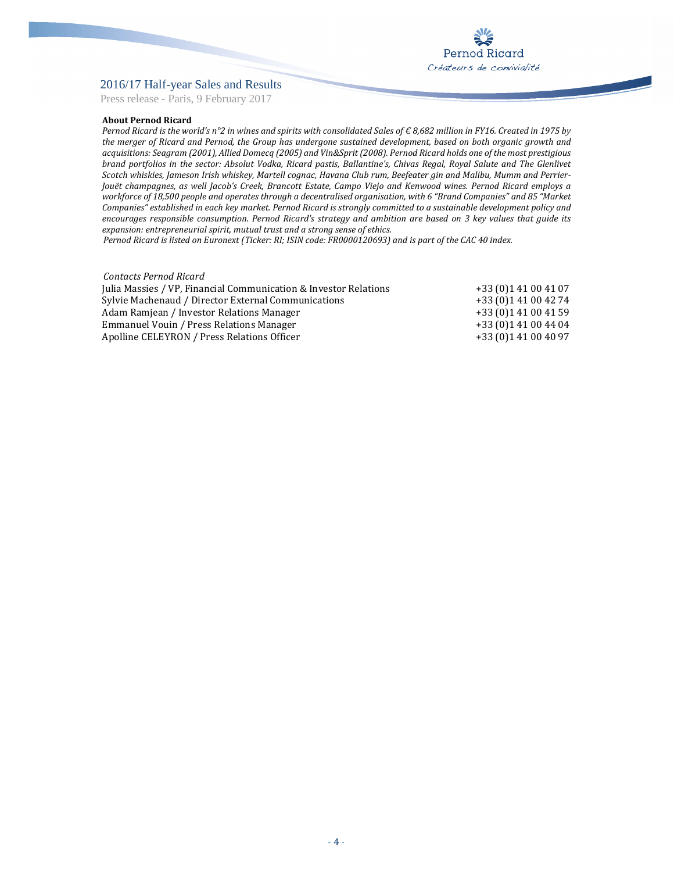

Press release - Paris, 9 February 2017

#### **About Pernod Ricard**

*Pernod Ricard is the world's n°2 in wines and spirits with consolidated Sales of € 8,682 million in FY16. Created in 1975 by the merger of Ricard and Pernod, the Group has undergone sustained development, based on both organic growth and acquisitions: Seagram (2001), Allied Domecq (2005) and Vin&Sprit (2008). Pernod Ricard holds one of the most prestigious brand portfolios in the sector: Absolut Vodka, Ricard pastis, Ballantine's, Chivas Regal, Royal Salute and The Glenlivet Scotch whiskies, Jameson Irish whiskey, Martell cognac, Havana Club rum, Beefeater gin and Malibu, Mumm and Perrier-Jouët champagnes, as well Jacob's Creek, Brancott Estate, Campo Viejo and Kenwood wines. Pernod Ricard employs a workforce of 18,500 people and operates through a decentralised organisation, with 6 "Brand Companies" and 85 "Market Companies" established in each key market. Pernod Ricard is strongly committed to a sustainable development policy and encourages responsible consumption. Pernod Ricard's strategy and ambition are based on 3 key values that guide its expansion: entrepreneurial spirit, mutual trust and a strong sense of ethics.* 

*Pernod Ricard is listed on Euronext (Ticker: RI; ISIN code: FR0000120693) and is part of the CAC 40 index.* 

#### *Contacts Pernod Ricard*

| Julia Massies / VP, Financial Communication & Investor Relations | +33 (0) 141 00 41 07 |
|------------------------------------------------------------------|----------------------|
| Sylvie Machenaud / Director External Communications              | +33 (0) 141 00 42 74 |
| Adam Ramjean / Investor Relations Manager                        | +33 (0) 141 00 41 59 |
| Emmanuel Vouin / Press Relations Manager                         | +33 (0) 141 00 44 04 |
| Apolline CELEYRON / Press Relations Officer                      | +33 (0) 141 00 40 97 |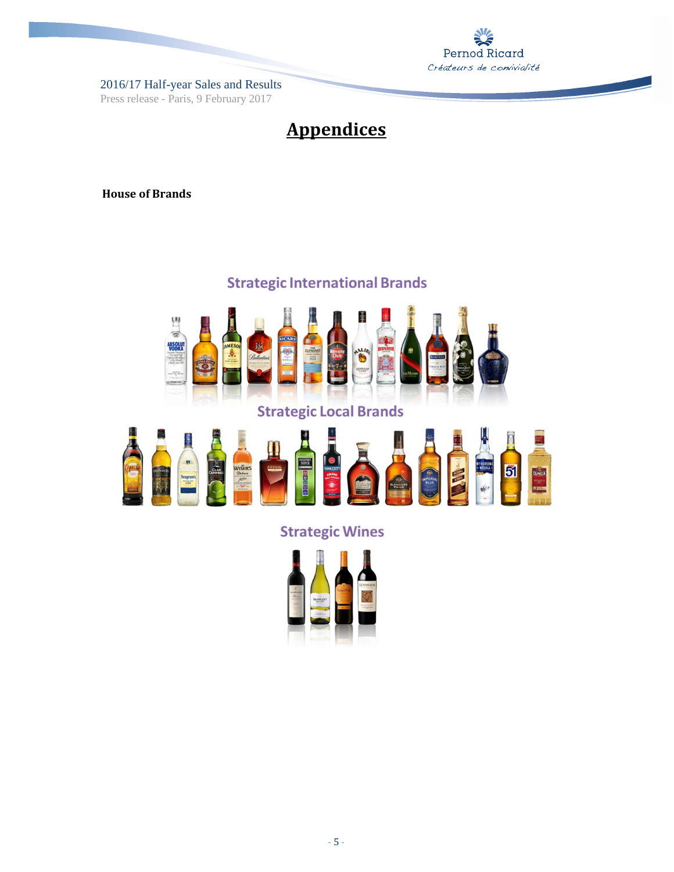

2016/17 Half-year Sales and Results Press release - Paris, 9 February 2017

# **Appendices**

**House of Brands** 

# **Strategic International Brands**



# **Strategic Local Brands**



# **Strategic Wines**

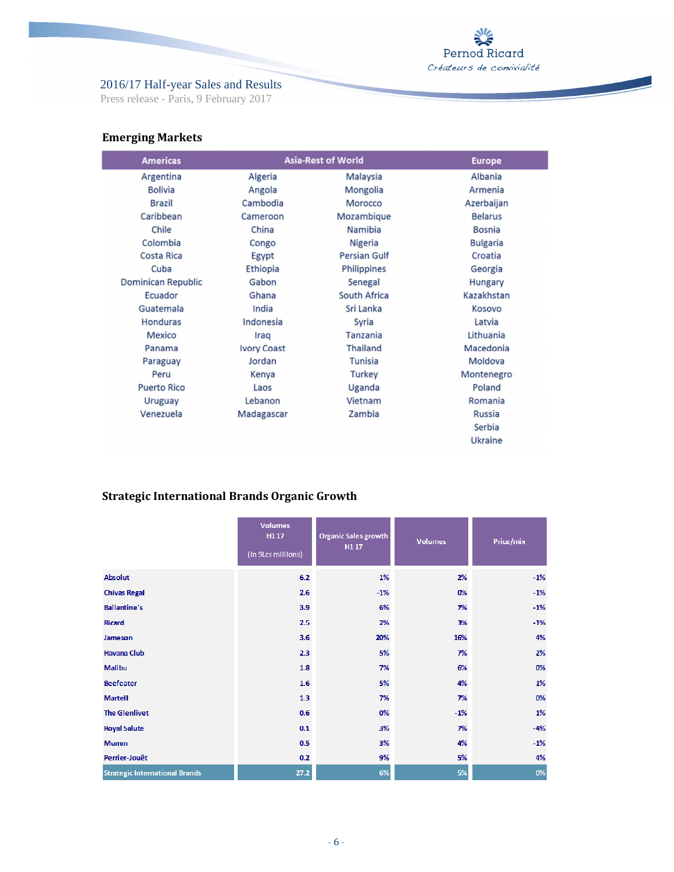

Press release - Paris, 9 February 2017

# **Emerging Markets**

| <b>Americas</b>           |                    | <b>Asia-Rest of World</b> | <b>Europe</b>   |
|---------------------------|--------------------|---------------------------|-----------------|
| Argentina                 | <b>Algeria</b>     | <b>Malaysia</b>           | Albania         |
| <b>Bolivia</b>            | Angola             | <b>Mongolia</b>           | Armenia         |
| <b>Brazil</b>             | Cambodia           | Morocco                   | Azerbaijan      |
| Caribbean                 | Cameroon           | Mozambique                | <b>Belarus</b>  |
| Chile                     | China              | <b>Namibia</b>            | <b>Bosnia</b>   |
| Colombia                  | Congo              | <b>Nigeria</b>            | <b>Bulgaria</b> |
| <b>Costa Rica</b>         | Egypt              | <b>Persian Gulf</b>       | Croatia         |
| Cuba                      | <b>Ethiopia</b>    | <b>Philippines</b>        | Georgia         |
| <b>Dominican Republic</b> | Gabon              | Senegal                   | <b>Hungary</b>  |
| Ecuador                   | Ghana              | <b>South Africa</b>       | Kazakhstan      |
| Guatemala                 | India              | Sri Lanka                 | Kosovo          |
| <b>Honduras</b>           | Indonesia          | Syria                     | Latvia          |
| Mexico                    | Iraq               | <b>Tanzania</b>           | Lithuania       |
| Panama                    | <b>Ivory Coast</b> | <b>Thailand</b>           | Macedonia       |
| Paraguay                  | Jordan             | <b>Tunisia</b>            | Moldova         |
| Peru                      | Kenya              | <b>Turkey</b>             | Montenegro      |
| <b>Puerto Rico</b>        | Laos               | Uganda                    | Poland          |
| <b>Uruguay</b>            | Lebanon            | Vietnam                   | Romania         |
| Venezuela                 | Madagascar         | Zambia                    | <b>Russia</b>   |
|                           |                    |                           | Serbia          |
|                           |                    |                           | Ukraine         |

# **Strategic International Brands Organic Growth**

|                                       | Volumes<br>H1 17<br>(in 9Lcs millions) | Organic Sales growth<br>H117 | <b>Volumes</b> | Price/mix |
|---------------------------------------|----------------------------------------|------------------------------|----------------|-----------|
| <b>Absolut</b>                        | 6.2                                    | 1%                           | 2%             | $-1%$     |
| <b>Chivas Regal</b>                   | 2.6                                    | $-1%$                        | 0%             | $-1%$     |
| <b>Ballantine's</b>                   | 3.9                                    | 6%                           | 7%             | $-1%$     |
| <b>Ricard</b>                         | 2.5                                    | 2%                           | 3%             | $-1%$     |
| Jameson                               | 3.6                                    | 20%                          | 16%            | 4%        |
| Havana Club                           | 2.3                                    | 5%                           | 7%             | $-2%$     |
| Malibu                                | 1.8                                    | 7%                           | 6%             | 0%        |
| <b>Beefeater</b>                      | 1.6                                    | 5%                           | 4%             | 1%        |
| <b>Martell</b>                        | 1.3                                    | 7%                           | 7%             | 0%        |
| <b>The Glenlivet</b>                  | 0.6                                    | 0%                           | $-1%$          | 1%        |
| <b>Royal Salute</b>                   | 0.1                                    | 3%                           | 7%             | $-4%$     |
| <b>Mumm</b>                           | 0.5                                    | 3%                           | 4%             | $-1%$     |
| Perrier-Jouët                         | 0.2                                    | 9%                           | 5%             | 4%        |
| <b>Strategic International Brands</b> | 27.2                                   | 6%                           | 5%             | $0\%$     |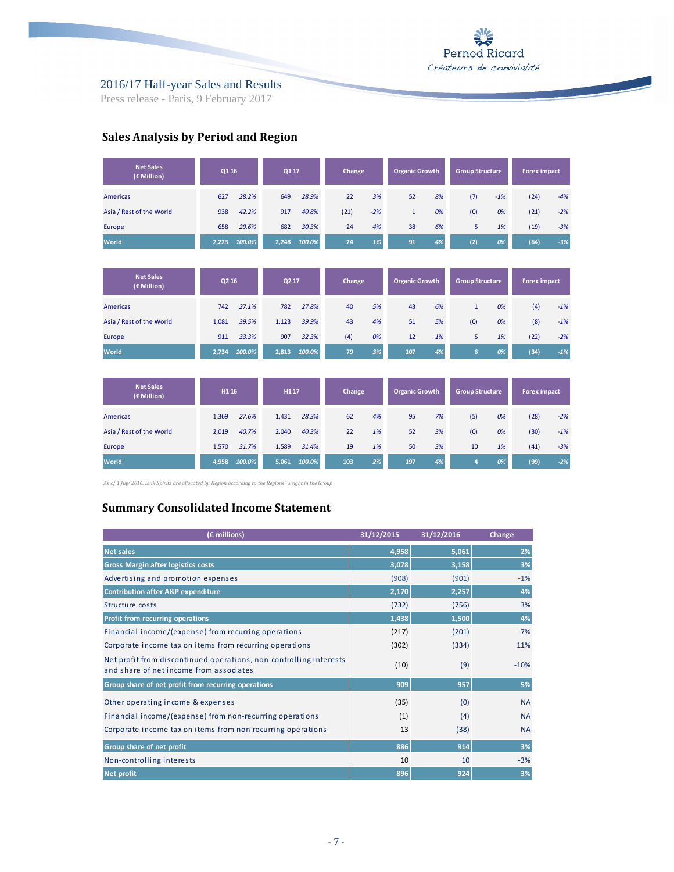

Press release - Paris, 9 February 2017

# **Sales Analysis by Period and Region**

| <b>Net Sales</b><br>(€ Million) | Q1 16 |        | Q117  |        | Change |       | <b>Organic Growth</b> |    | <b>Group Structure</b> |       | <b>Forex impact</b> |       |
|---------------------------------|-------|--------|-------|--------|--------|-------|-----------------------|----|------------------------|-------|---------------------|-------|
| <b>Americas</b>                 | 627   | 28.2%  | 649   | 28.9%  | 22     | 3%    | 52                    | 8% | (7)                    | $-1%$ | (24)                | $-4%$ |
| Asia / Rest of the World        | 938   | 42.2%  | 917   | 40.8%  | (21)   | $-2%$ | $\mathbf{1}$          | 0% | (0)                    | 0%    | (21)                | $-2%$ |
| Europe                          | 658   | 29.6%  | 682   | 30.3%  | 24     | 4%    | 38                    | 6% | 5                      | 1%    | (19)                | $-3%$ |
| World                           | 2,223 | 100.0% | 2,248 | 100.0% | 24     | 1%    | 91                    | 4% | (2)                    | 0%    | (64)                | $-3%$ |
|                                 |       |        |       |        |        |       |                       |    |                        |       |                     |       |
| <b>Net Sales</b><br>(€ Million) | Q2 16 |        | Q2 17 |        | Change |       | <b>Organic Growth</b> |    | <b>Group Structure</b> |       | <b>Forex impact</b> |       |
| <b>Americas</b>                 | 742   | 27.1%  | 782   | 27.8%  | 40     | 5%    | 43                    | 6% | $\mathbf{1}$           | 0%    | (4)                 | $-1%$ |
| Asia / Rest of the World        | 1,081 | 39.5%  | 1,123 | 39.9%  | 43     | 4%    | 51                    | 5% | (0)                    | 0%    | (8)                 | $-1%$ |
| <b>Europe</b>                   | 911   | 33.3%  | 907   | 32.3%  | (4)    | 0%    | 12                    | 1% | 5                      | 1%    | (22)                | $-2%$ |
| World                           | 2,734 | 100.0% | 2,813 | 100.0% | 79     | 3%    | 107                   | 4% | 6                      | 0%    | (34)                | $-1%$ |
|                                 |       |        |       |        |        |       |                       |    |                        |       |                     |       |
| <b>Net Sales</b><br>(€ Million) | H1 16 |        | H117  |        | Change |       | <b>Organic Growth</b> |    | <b>Group Structure</b> |       | <b>Forex impact</b> |       |
| <b>Americas</b>                 | 1,369 | 27.6%  | 1,431 | 28.3%  | 62     | 4%    | 95                    | 7% | (5)                    | 0%    | (28)                | $-2%$ |
| Asia / Rest of the World        | 2,019 | 40.7%  | 2,040 | 40.3%  | 22     | 1%    | 52                    | 3% | (0)                    | 0%    | (30)                | $-1%$ |
| <b>Europe</b>                   | 1,570 | 31.7%  | 1,589 | 31.4%  | 19     | 1%    | 50                    | 3% | 10                     | 1%    | (41)                | $-3%$ |
| World                           | 4,958 | 100.0% | 5,061 | 100.0% | 103    | 2%    | 197                   | 4% | $\overline{a}$         | 0%    | (99)                | $-2%$ |

*As of 1 July 2016, Bulk Spirits are allocated by Region according to the Regions' weight in the Group*

# **Summary Consolidated Income Statement**

| (€ millions)                                                                                                  | 31/12/2015 | 31/12/2016 | Change    |
|---------------------------------------------------------------------------------------------------------------|------------|------------|-----------|
| <b>Net sales</b>                                                                                              | 4,958      | 5,061      | 2%        |
| <b>Gross Margin after logistics costs</b>                                                                     | 3,078      | 3,158      | 3%        |
| Advertising and promotion expenses                                                                            | (908)      | (901)      | $-1%$     |
| <b>Contribution after A&amp;P expenditure</b>                                                                 | 2,170      | 2,257      | 4%        |
| Structure costs                                                                                               | (732)      | (756)      | 3%        |
| Profit from recurring operations                                                                              | 1,438      | 1,500      | 4%        |
| Financial income/(expense) from recurring operations                                                          | (217)      | (201)      | $-7%$     |
| Corporate income tax on items from recurring operations                                                       | (302)      | (334)      | 11%       |
| Net profit from discontinued operations, non-controlling interests<br>and share of net income from associates | (10)       | (9)        | $-10%$    |
| Group share of net profit from recurring operations                                                           | 909        | 957        | 5%        |
| Other operating income & expenses                                                                             | (35)       | (0)        | <b>NA</b> |
| Financial income/(expense) from non-recurring operations                                                      | (1)        | (4)        | <b>NA</b> |
| Corporate income tax on items from non recurring operations                                                   | 13         | (38)       | <b>NA</b> |
| Group share of net profit                                                                                     | 886        | 914        | 3%        |
| Non-controlling interests                                                                                     | 10         | 10         | $-3%$     |
| <b>Net profit</b>                                                                                             | 896        | 924        | 3%        |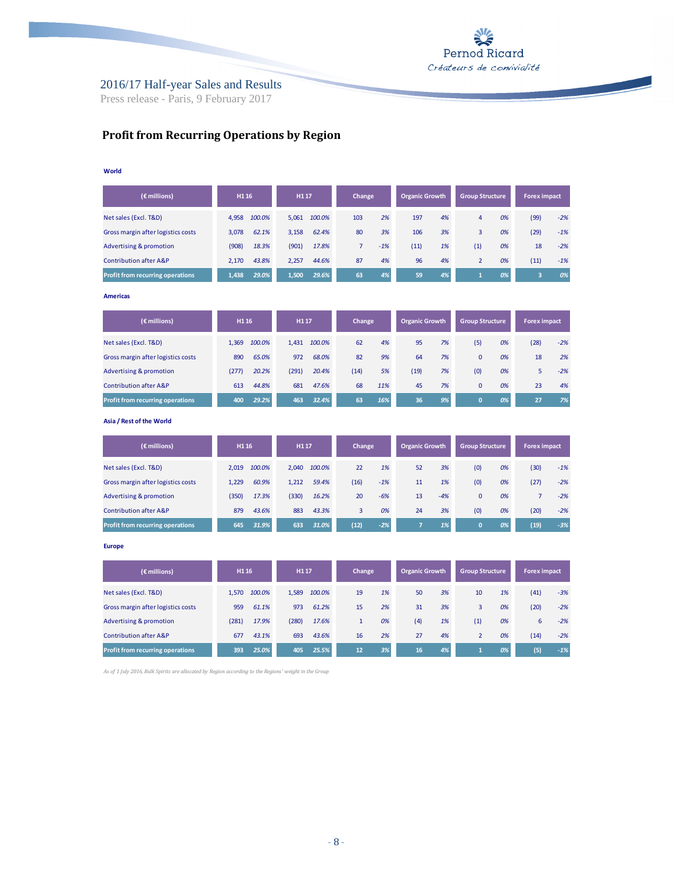

# **Profit from Recurring Operations by Region**

| (€ millions)                            | H <sub>116</sub> |        | H1 17 |        | Change |       | <b>Organic Growth</b> |    | <b>Group Structure</b> |    | <b>Forex impact</b> |       |
|-----------------------------------------|------------------|--------|-------|--------|--------|-------|-----------------------|----|------------------------|----|---------------------|-------|
| Net sales (Excl. T&D)                   | 4.958            | 100.0% | 5.061 | 100.0% | 103    | 2%    | 197                   | 4% | 4                      | 0% | (99)                | $-2%$ |
| Gross margin after logistics costs      | 3.078            | 62.1%  | 3.158 | 62.4%  | 80     | 3%    | 106                   | 3% | 3                      | 0% | (29)                | $-1%$ |
| <b>Advertising &amp; promotion</b>      | (908)            | 18.3%  | (901) | 17.8%  |        | $-1%$ | (11)                  | 1% | (1)                    | 0% | 18                  | $-2%$ |
| Contribution after A&P                  | 2.170            | 43.8%  | 2.257 | 44.6%  | 87     | 4%    | 96                    | 4% | $\overline{2}$         | 0% | (11)                | $-1%$ |
| <b>Profit from recurring operations</b> | 1,438            | 29.0%  | 1,500 | 29.6%  | 63     | 4%    | 59                    | 4% |                        | 0% | 3                   | 0%    |

**Americas**

| (€ millions)                       | H <sub>116</sub> |        | H1 17 |        | Change |     | <b>Organic Growth</b> |    | <b>Group Structure</b> |       | <b>Forex impact</b> |       |
|------------------------------------|------------------|--------|-------|--------|--------|-----|-----------------------|----|------------------------|-------|---------------------|-------|
| Net sales (Excl. T&D)              | 1.369            | 100.0% | 1.431 | 100.0% | 62     | 4%  | 95                    | 7% | (5)                    | 0%    | (28)                | $-2%$ |
| Gross margin after logistics costs | 890              | 65.0%  | 972   | 68.0%  | 82     | 9%  | 64                    | 7% | $\mathbf{0}$           | $O\%$ | 18                  | 2%    |
| <b>Advertising &amp; promotion</b> | (277)            | 20.2%  | (291) | 20.4%  | (14)   | 5%  | (19)                  | 7% | (0)                    | 0%    | 5.                  | $-2%$ |
| <b>Contribution after A&amp;P</b>  | 613              | 44.8%  | 681   | 47.6%  | 68     | 11% | 45                    | 7% | $\mathbf{0}$           | 0%    | 23                  | 4%    |
| Profit from recurring operations,  | 400              | 29.2%  | 463   | 32.4%  | 63     | 16% | 36                    | 9% | $\mathbf{0}$           | 0%    | 27                  | 7%    |

**Asia / Rest of the World**

| (€ millions)                            | H1 16 |        | H117  |        | Change |       | <b>Organic Growth</b> |       | <b>Group Structure</b> |    | Forex impact |        |
|-----------------------------------------|-------|--------|-------|--------|--------|-------|-----------------------|-------|------------------------|----|--------------|--------|
| Net sales (Excl. T&D)                   | 2.019 | 100.0% | 2.040 | 100.0% | 22     | 1%    | 52                    | 3%    | (0)                    | 0% | (30)         | $-1\%$ |
| Gross margin after logistics costs      | 1.229 | 60.9%  | 1.212 | 59.4%  | (16)   | $-1%$ | 11                    | 1%    | (0)                    | 0% | (27)         | $-2%$  |
| <b>Advertising &amp; promotion</b>      | (350) | 17.3%  | (330) | 16.2%  | 20     | $-6%$ | 13                    | $-4%$ | $\mathbf{0}$           | 0% |              | $-2%$  |
| Contribution after A&P                  | 879   | 43.6%  | 883   | 43.3%  | 3      | 0%    | 24                    | 3%    | (0)                    | 0% | (20)         | $-2%$  |
| <b>Profit from recurring operations</b> | 645   | 31.9%  | 633   | 31.0%  | (12)   | $-2%$ |                       | 1%    | $\mathbf{0}$           | 0% | (19)         | $-3%$  |

**Europe**

| $(\epsilon$ millions)                   | H1 16 |        | H <sub>1</sub> 17 |        | Change |    | <b>Organic Growth</b> |    | <b>Group Structure</b> |    | <b>Forex impact</b> |       |
|-----------------------------------------|-------|--------|-------------------|--------|--------|----|-----------------------|----|------------------------|----|---------------------|-------|
|                                         |       |        |                   |        |        |    |                       |    |                        |    |                     |       |
| Net sales (Excl. T&D)                   | 1.570 | 100.0% | 1.589             | 100.0% | 19     | 1% | 50                    | 3% | 10                     | 1% | (41)                | $-3%$ |
| Gross margin after logistics costs      | 959   | 61.1%  | 973               | 61.2%  | 15     | 2% | 31                    | 3% | 3                      | 0% | (20)                | $-2%$ |
| <b>Advertising &amp; promotion</b>      | (281) | 17.9%  | (280)             | 17.6%  |        | 0% | (4)                   | 1% | (1)                    | 0% | 6                   | $-2%$ |
| <b>Contribution after A&amp;P</b>       | 677   | 43.1%  | 693               | 43.6%  | 16     | 2% | 27                    | 4% | $\overline{2}$         | 0% | (14)                | $-2%$ |
| <b>Profit from recurring operations</b> | 393   | 25.0%  | 405               | 25.5%  | 12     | 3% | 16                    | 4% |                        | 0% | (5)                 | $-1%$ |

*As of 1 July 2016, Bulk Spirits are allocated by Region according to the Regions' weight in the Group*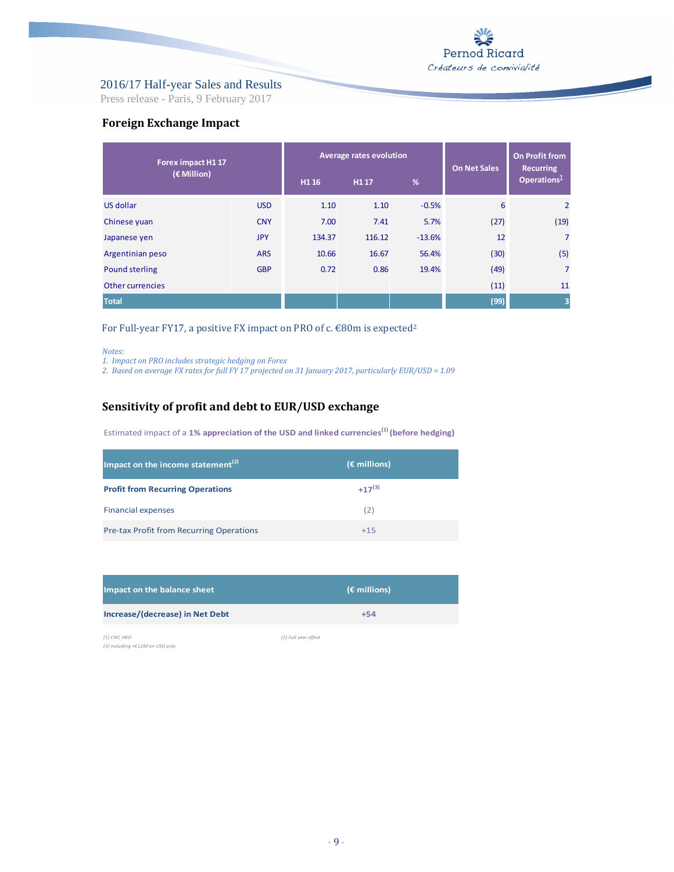

Press release - Paris, 9 February 2017

# **Foreign Exchange Impact**

| Forex impact H1 17    |            | <b>Average rates evolution</b> | <b>On Net Sales</b> | <b>On Profit from</b><br><b>Recurring</b> |      |                         |
|-----------------------|------------|--------------------------------|---------------------|-------------------------------------------|------|-------------------------|
| (€ Million)           |            |                                | H <sub>117</sub>    | %                                         |      | Operations $1$          |
| US dollar             | <b>USD</b> | 1.10                           | 1.10                | $-0.5%$                                   | 6    | $\overline{2}$          |
| Chinese yuan          | <b>CNY</b> | 7.00                           | 7.41                | 5.7%                                      | (27) | (19)                    |
| Japanese yen          | <b>JPY</b> | 134.37                         | 116.12              | $-13.6%$                                  | 12   | $\overline{7}$          |
| Argentinian peso      | <b>ARS</b> | 10.66                          | 16.67               | 56.4%                                     | (30) | (5)                     |
| <b>Pound sterling</b> | <b>GBP</b> | 0.72                           | 0.86                | 19.4%                                     | (49) | $\overline{7}$          |
| Other currencies      |            |                                |                     |                                           | (11) | 11                      |
| <b>Total</b>          |            |                                |                     |                                           | (99) | $\overline{\mathbf{3}}$ |

For Full-year FY17, a positive FX impact on PRO of c.  $\text{\large\ensuremath{\in}} 80\text{m}$  is expected<sup>2</sup>

*Notes:*

*1. Impact on PRO includes strategic hedging on Forex*

*2. Based on average FX rates for full FY 17 projected on 31 January 2017, particularly EUR/USD = 1.09*

# **Sensitivity of profit and debt to EUR/USD exchange**

Estimated impact of a **1% appreciation of the USD and linked currencies(1) (before hedging)**

| Impact on the income statement $^{(2)}$         | $(\epsilon$ millions) |
|-------------------------------------------------|-----------------------|
| <b>Profit from Recurring Operations</b>         | $+17^{(3)}$           |
| <b>Financial expenses</b>                       | (2)                   |
| <b>Pre-tax Profit from Recurring Operations</b> | $+15$                 |

| Impact on the balance sheet     | $(\epsilon$ millions) |
|---------------------------------|-----------------------|
| Increase/(decrease) in Net Debt | $+54$                 |

*(3) including +€12M on USD only*

*(1) CNY, HKD (2) Full year effect*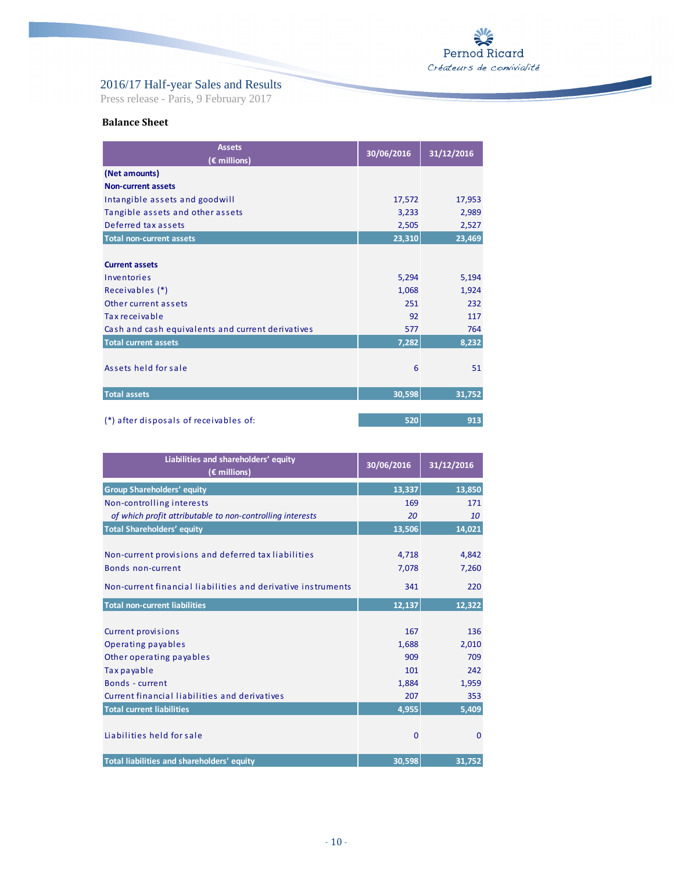

Press release - Paris, 9 February 2017

# **Balance Sheet**

| <b>Assets</b><br>(€ millions)                     | 30/06/2016 | 31/12/2016 |
|---------------------------------------------------|------------|------------|
| (Net amounts)                                     |            |            |
| <b>Non-current assets</b>                         |            |            |
| Intangible assets and goodwill                    | 17,572     | 17,953     |
| Tangible assets and other assets                  | 3,233      | 2,989      |
| Deferred tax assets                               | 2,505      | 2,527      |
| <b>Total non-current assets</b>                   | 23,310     | 23,469     |
|                                                   |            |            |
| <b>Current assets</b>                             |            |            |
| Inventories                                       | 5,294      | 5,194      |
| Receivables (*)                                   | 1,068      | 1,924      |
| Other current assets                              | 251        | 232        |
| Tax receivable                                    | 92         | 117        |
| Cash and cash equivalents and current derivatives | 577        | 764        |
| <b>Total current assets</b>                       | 7,282      | 8,232      |
|                                                   |            |            |
| Assets held for sale                              | 6          | 51         |
|                                                   |            |            |
| <b>Total assets</b>                               | 30,598     | 31,752     |
|                                                   |            |            |
| (*) after disposals of receivables of:            | 520        | 913        |

| Liabilities and shareholders' equity<br>(€ millions)                                                                                                                                        | 30/06/2016                                          | 31/12/2016                                          |
|---------------------------------------------------------------------------------------------------------------------------------------------------------------------------------------------|-----------------------------------------------------|-----------------------------------------------------|
| <b>Group Shareholders' equity</b>                                                                                                                                                           | 13,337                                              | 13,850                                              |
| Non-controlling interests                                                                                                                                                                   | 169                                                 | 171                                                 |
| of which profit attributable to non-controlling interests                                                                                                                                   | 20                                                  | 10                                                  |
| <b>Total Shareholders' equity</b>                                                                                                                                                           | 13,506                                              | 14,021                                              |
| Non-current provisions and deferred tax liabilities<br>Bonds non-current                                                                                                                    | 4,718<br>7,078                                      | 4,842<br>7,260                                      |
| Non-current financial liabilities and derivative instruments                                                                                                                                | 341                                                 | 220                                                 |
| <b>Total non-current liabilities</b>                                                                                                                                                        | 12,137                                              | 12,322                                              |
| Current provisions<br>Operating payables<br>Other operating payables<br>Tax payable<br>Bonds - current<br>Current financial liabilities and derivatives<br><b>Total current liabilities</b> | 167<br>1,688<br>909<br>101<br>1,884<br>207<br>4,955 | 136<br>2,010<br>709<br>242<br>1,959<br>353<br>5,409 |
| Liabilities held for sale<br>Total liabilities and shareholders' equity                                                                                                                     | $\Omega$<br>30,598                                  | $\Omega$<br>31,752                                  |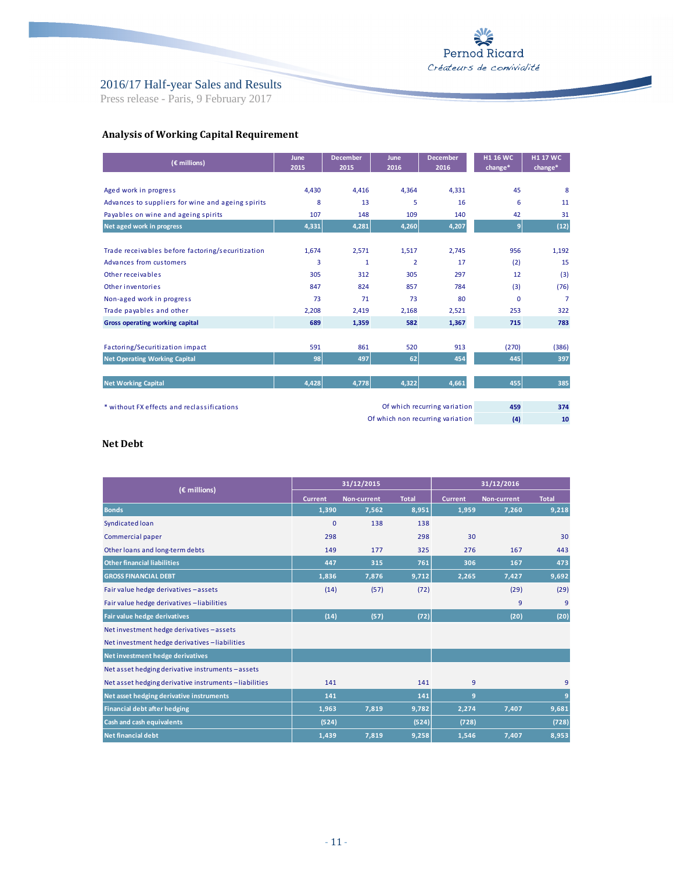

Press release - Paris, 9 February 2017

### **Analysis of Working Capital Requirement**

| (€ millions)                                      | June<br>2015                     | <b>December</b><br>2015 | June<br>2016   | <b>December</b><br>2016 | <b>H1 16 WC</b><br>change* | <b>H117WC</b><br>$change*$ |
|---------------------------------------------------|----------------------------------|-------------------------|----------------|-------------------------|----------------------------|----------------------------|
|                                                   |                                  |                         |                |                         |                            |                            |
| Aged work in progress                             | 4,430                            | 4,416                   | 4,364          | 4,331                   | 45                         | 8                          |
| Advances to suppliers for wine and ageing spirits | 8                                | 13                      | 5              | 16                      | 6                          | 11                         |
| Payables on wine and ageing spirits               | 107                              | 148                     | 109            | 140                     | 42                         | 31                         |
| Net aged work in progress                         | 4,331                            | 4,281                   | 4,260          | 4,207                   | $\overline{9}$             | (12)                       |
|                                                   |                                  |                         |                |                         |                            |                            |
| Trade receivables before factoring/securitization | 1,674                            | 2,571                   | 1,517          | 2,745                   | 956                        | 1,192                      |
| Advances from customers                           | 3                                | 1                       | $\overline{2}$ | 17                      | (2)                        | 15                         |
| Other receivables                                 | 305                              | 312                     | 305            | 297                     | 12                         | (3)                        |
| Other inventories                                 | 847                              | 824                     | 857            | 784                     | (3)                        | (76)                       |
| Non-aged work in progress                         | 73                               | 71                      | 73             | 80                      | $\mathbf{0}$               | $\overline{7}$             |
| Trade payables and other                          | 2,208                            | 2,419                   | 2,168          | 2,521                   | 253                        | 322                        |
| <b>Gross operating working capital</b>            | 689                              | 1,359                   | 582            | 1,367                   | 715                        | 783                        |
|                                                   |                                  |                         |                |                         |                            |                            |
| Factoring/Securitization impact                   | 591                              | 861                     | 520            | 913                     | (270)                      | (386)                      |
| <b>Net Operating Working Capital</b>              | 98                               | 497                     | 62             | 454                     | 445                        | 397                        |
|                                                   |                                  |                         |                |                         |                            |                            |
| <b>Net Working Capital</b>                        | 4,428                            | 4,778                   | 4,322          | 4,661                   | 455                        | 385                        |
|                                                   |                                  |                         |                |                         |                            |                            |
| * without FX effects and reclassifications        | Of which recurring variation     |                         |                | 459                     | 374                        |                            |
|                                                   | Of which non recurring variation |                         |                |                         | (4)                        | 10                         |
|                                                   |                                  |                         |                |                         |                            |                            |

# **Net Debt**

| (€ millions)                                         | 31/12/2015                    |       |              | 31/12/2016     |       |              |
|------------------------------------------------------|-------------------------------|-------|--------------|----------------|-------|--------------|
|                                                      | <b>Current</b><br>Non-current |       | <b>Total</b> | <b>Current</b> |       | <b>Total</b> |
| <b>Bonds</b>                                         | 1,390                         | 7,562 | 8,951        | 1,959          | 7,260 | 9,218        |
| Syndicated loan                                      | $\mathbf{0}$                  | 138   | 138          |                |       |              |
| Commercial paper                                     | 298                           |       | 298          | 30             |       | 30           |
| Other loans and long-term debts                      | 149                           | 177   | 325          | 276            | 167   | 443          |
| <b>Other financial liabilities</b>                   | 447                           | 315   | 761          | 306            | 167   | 473          |
| <b>GROSS FINANCIAL DEBT</b>                          | 1,836                         | 7,876 | 9,712        | 2,265          | 7,427 | 9,692        |
| Fair value hedge derivatives - assets                | (14)                          | (57)  | (72)         |                | (29)  | (29)         |
| Fair value hedge derivatives - liabilities           |                               |       |              |                | 9     | 9            |
| Fair value hedge derivatives                         | (14)                          | (57)  | (72)         |                | (20)  | (20)         |
| Net investment hedge derivatives - assets            |                               |       |              |                |       |              |
| Net investment hedge derivatives -liabilities        |                               |       |              |                |       |              |
| Net investment hedge derivatives                     |                               |       |              |                |       |              |
| Net asset hedging derivative instruments - assets    |                               |       |              |                |       |              |
| Net asset hedging derivative instruments-liabilities | 141                           |       | 141          | 9              |       | 9            |
| Net asset hedging derivative instruments             | 141                           |       | 141          | 9              |       | 9            |
| <b>Financial debt after hedging</b>                  | 1,963                         | 7,819 | 9,782        | 2,274          | 7,407 | 9,681        |
| <b>Cash and cash equivalents</b>                     | (524)                         |       | (524)        | (728)          |       | (728)        |
| <b>Net financial debt</b>                            | 1,439                         | 7,819 | 9,258        | 1,546          | 7,407 | 8,953        |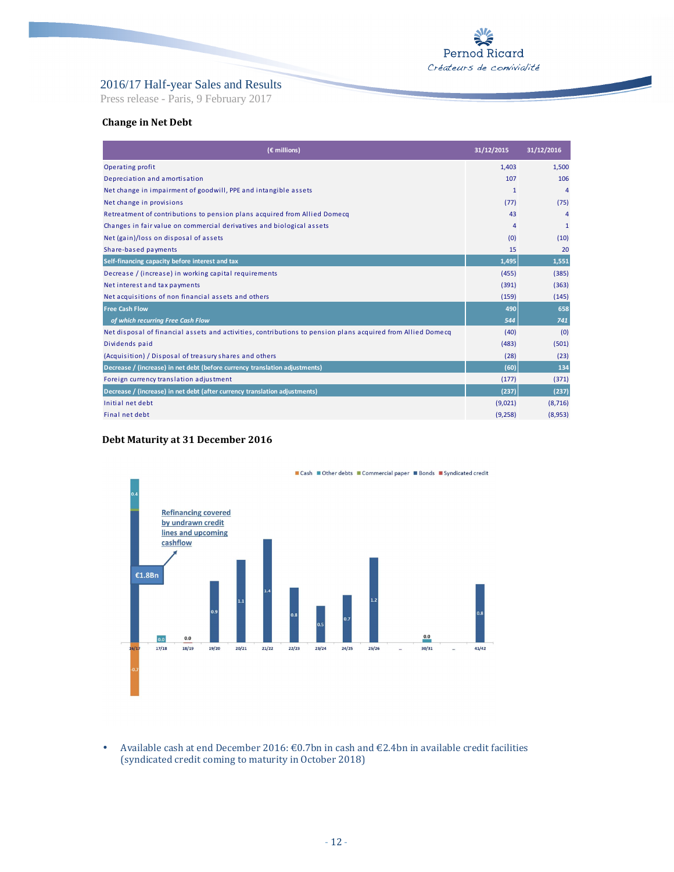

Press release - Paris, 9 February 2017

### **Change in Net Debt**

| (€ millions)                                                                                                | 31/12/2015   | 31/12/2016     |
|-------------------------------------------------------------------------------------------------------------|--------------|----------------|
| Operating profit                                                                                            | 1,403        | 1,500          |
| Depreciation and amortisation                                                                               | 107          | 106            |
| Net change in impairment of goodwill, PPE and intangible assets                                             | $\mathbf{1}$ | $\overline{4}$ |
| Net change in provisions                                                                                    | (77)         | (75)           |
| Retreatment of contributions to pension plans acquired from Allied Domecq                                   | 43           | $\overline{4}$ |
| Changes in fair value on commercial derivatives and biological assets                                       | 4            | $\mathbf{1}$   |
| Net (gain)/loss on disposal of assets                                                                       | (0)          | (10)           |
| Share-based payments                                                                                        | 15           | 20             |
| Self-financing capacity before interest and tax                                                             | 1,495        | 1,551          |
| Decrease / (increase) in working capital requirements                                                       | (455)        | (385)          |
| Net interest and tax payments                                                                               | (391)        | (363)          |
| Net acquisitions of non financial assets and others                                                         | (159)        | (145)          |
| <b>Free Cash Flow</b>                                                                                       | 490          | 658            |
| of which recurring Free Cash Flow                                                                           | 544          | 741            |
| Net disposal of financial assets and activities, contributions to pension plans acquired from Allied Domecq | (40)         | (0)            |
| Dividends paid                                                                                              | (483)        | (501)          |
| (Acquisition) / Disposal of treasury shares and others                                                      | (28)         | (23)           |
| Decrease / (increase) in net debt (before currency translation adjustments)                                 | (60)         | 134            |
| Foreign currency translation adjustment                                                                     | (177)        | (371)          |
| Decrease / (increase) in net debt (after currency translation adjustments)                                  | (237)        | (237)          |
| Initial net debt                                                                                            | (9,021)      | (8,716)        |
| Final net debt                                                                                              | (9,258)      | (8,953)        |

### **Debt Maturity at 31 December 2016**



• Available cash at end December 2016:  $\epsilon$ 0.7bn in cash and  $\epsilon$ 2.4bn in available credit facilities (syndicated credit coming to maturity in October 2018)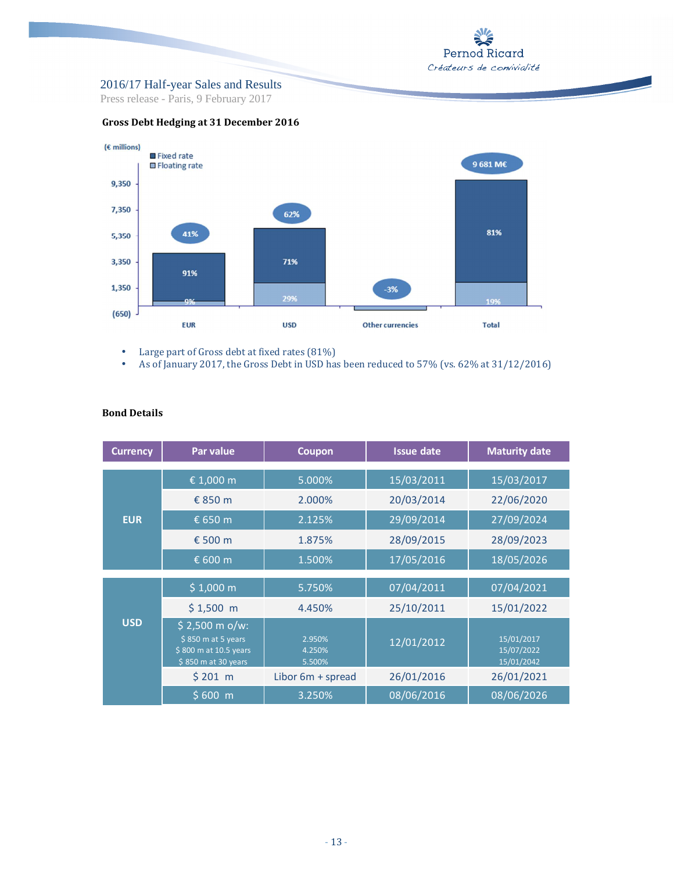

Press release - Paris, 9 February 2017



## **Gross Debt Hedging at 31 December 2016**

• Large part of Gross debt at fixed rates (81%)

• As of January 2017, the Gross Debt in USD has been reduced to 57% (vs. 62% at 31/12/2016)

| <b>Currency</b> | Par value                                                                             | <b>Coupon</b>              | <b>Issue date</b> | <b>Maturity date</b>                   |
|-----------------|---------------------------------------------------------------------------------------|----------------------------|-------------------|----------------------------------------|
|                 |                                                                                       |                            |                   |                                        |
|                 | € 1,000 m                                                                             | 5.000%                     | 15/03/2011        | 15/03/2017                             |
|                 | € 850 m                                                                               | 2.000%                     | 20/03/2014        | 22/06/2020                             |
| <b>EUR</b>      | € 650 m                                                                               | 2.125%                     | 29/09/2014        | 27/09/2024                             |
|                 | € 500 m                                                                               | 1.875%                     | 28/09/2015        | 28/09/2023                             |
|                 | € 600 m                                                                               | 1.500%                     | 17/05/2016        | 18/05/2026                             |
|                 |                                                                                       |                            |                   |                                        |
|                 | \$1,000 m                                                                             | 5.750%                     | 07/04/2011        | 07/04/2021                             |
| <b>USD</b>      | $$1,500$ m                                                                            | 4.450%                     | 25/10/2011        | 15/01/2022                             |
|                 | \$2,500 m o/w:<br>$$850$ m at 5 years<br>\$800 m at 10.5 years<br>\$850 m at 30 years | 2.950%<br>4.250%<br>5.500% | 12/01/2012        | 15/01/2017<br>15/07/2022<br>15/01/2042 |
|                 | \$201 m                                                                               | Libor 6m + spread          | 26/01/2016        | 26/01/2021                             |
|                 | \$600 m                                                                               | 3.250%                     | 08/06/2016        | 08/06/2026                             |

## **Bond Details**